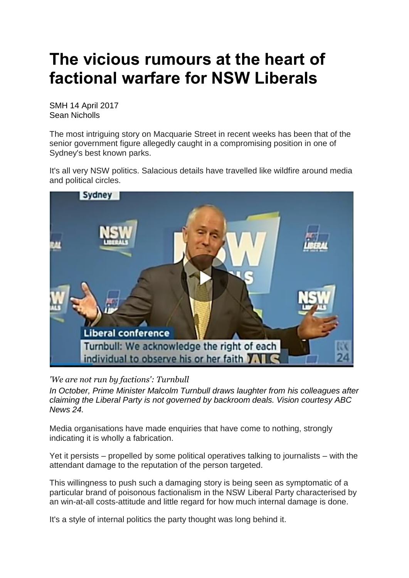## **The vicious rumours at the heart of factional warfare for NSW Liberals**

SMH 14 April 2017 Sean Nicholls

The most intriguing story on Macquarie Street in recent weeks has been that of the senior government figure allegedly caught in a compromising position in one of Sydney's best known parks.

It's all very NSW politics. Salacious details have travelled like wildfire around media and political circles.



*'We are not run by factions': Turnbull*

*In October, Prime Minister Malcolm Turnbull draws laughter from his colleagues after claiming the Liberal Party is not governed by backroom deals. Vision courtesy ABC News 24.*

Media organisations have made enquiries that have come to nothing, strongly indicating it is wholly a fabrication.

Yet it persists – propelled by some political operatives talking to journalists – with the attendant damage to the reputation of the person targeted.

This willingness to push such a damaging story is being seen as symptomatic of a particular brand of poisonous factionalism in the NSW Liberal Party characterised by an win-at-all costs-attitude and little regard for how much internal damage is done.

It's a style of internal politics the party thought was long behind it.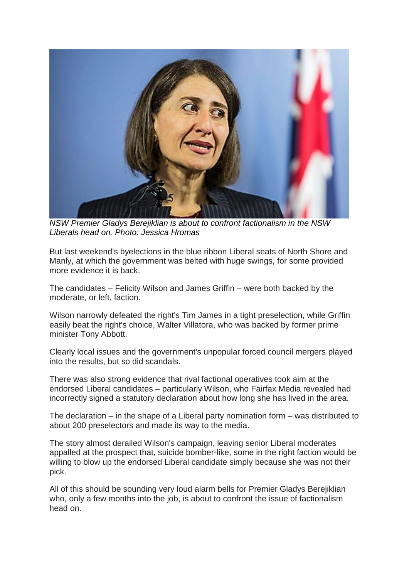

*NSW Premier Gladys Berejiklian is about to confront factionalism in the NSW Liberals head on. Photo: Jessica Hromas*

But last weekend's byelections in the blue ribbon Liberal seats of North Shore and Manly, at which the government was belted with huge swings, for some provided more evidence it is back.

The candidates – Felicity Wilson and James Griffin – were both backed by the moderate, or left, faction.

Wilson narrowly defeated the right's Tim James in a tight preselection, while Griffin easily beat the right's choice, Walter Villatora, who was backed by former prime minister Tony Abbott.

Clearly local issues and the government's unpopular forced council mergers played into the results, but so did scandals.

There was also strong evidence that rival factional operatives took aim at the endorsed Liberal candidates – particularly Wilson, who Fairfax Media revealed had incorrectly signed a statutory declaration about how long she has lived in the area.

The declaration – in the shape of a Liberal party nomination form – was distributed to about 200 preselectors and made its way to the media.

The story almost derailed Wilson's campaign, leaving senior Liberal moderates appalled at the prospect that, suicide bomber-like, some in the right faction would be willing to blow up the endorsed Liberal candidate simply because she was not their pick.

All of this should be sounding very loud alarm bells for Premier Gladys Berejiklian who, only a few months into the job, is about to confront the issue of factionalism head on.